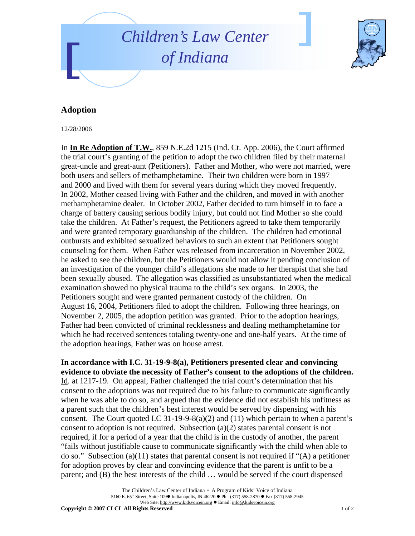



## **Adoption**

12/28/2006

In **In Re Adoption of T.W.**, 859 N.E.2d 1215 (Ind. Ct. App. 2006), the Court affirmed the trial court's granting of the petition to adopt the two children filed by their maternal great-uncle and great-aunt (Petitioners). Father and Mother, who were not married, were both users and sellers of methamphetamine. Their two children were born in 1997 and 2000 and lived with them for several years during which they moved frequently. In 2002, Mother ceased living with Father and the children, and moved in with another methamphetamine dealer. In October 2002, Father decided to turn himself in to face a charge of battery causing serious bodily injury, but could not find Mother so she could take the children. At Father's request, the Petitioners agreed to take them temporarily and were granted temporary guardianship of the children. The children had emotional outbursts and exhibited sexualized behaviors to such an extent that Petitioners sought counseling for them. When Father was released from incarceration in November 2002, he asked to see the children, but the Petitioners would not allow it pending conclusion of an investigation of the younger child's allegations she made to her therapist that she had been sexually abused. The allegation was classified as unsubstantiated when the medical examination showed no physical trauma to the child's sex organs. In 2003, the Petitioners sought and were granted permanent custody of the children. On August 16, 2004, Petitioners filed to adopt the children. Following three hearings, on November 2, 2005, the adoption petition was granted. Prior to the adoption hearings, Father had been convicted of criminal recklessness and dealing methamphetamine for which he had received sentences totaling twenty-one and one-half years. At the time of the adoption hearings, Father was on house arrest.

**In accordance with I.C. 31-19-9-8(a), Petitioners presented clear and convincing evidence to obviate the necessity of Father's consent to the adoptions of the children.**  Id. at 1217-19. On appeal, Father challenged the trial court's determination that his consent to the adoptions was not required due to his failure to communicate significantly when he was able to do so, and argued that the evidence did not establish his unfitness as a parent such that the children's best interest would be served by dispensing with his consent. The Court quoted I.C  $31-19-9-8(a)(2)$  and (11) which pertain to when a parent's consent to adoption is not required. Subsection (a)(2) states parental consent is not required, if for a period of a year that the child is in the custody of another, the parent "fails without justifiable cause to communicate significantly with the child when able to do so." Subsection (a)(11) states that parental consent is not required if "(A) a petitioner for adoption proves by clear and convincing evidence that the parent is unfit to be a parent; and (B) the best interests of the child … would be served if the court dispensed